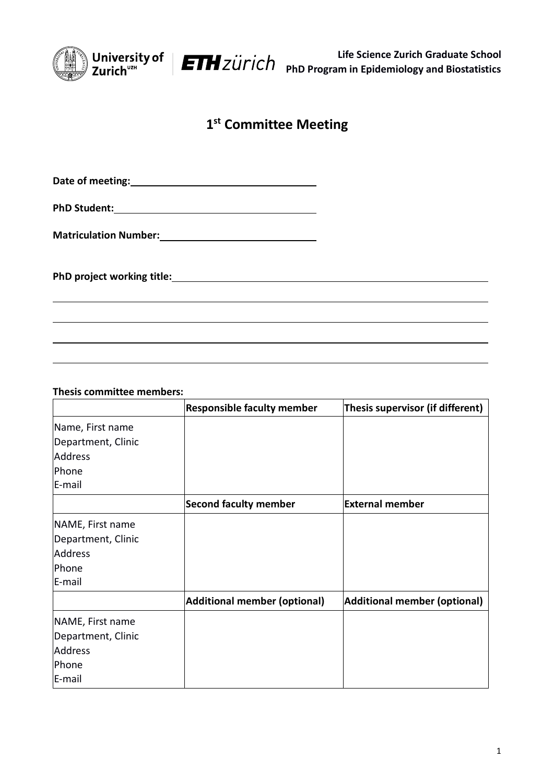

## **1 st Committee Meeting**

**Date of meeting:**

**PhD Student:**

**Matriculation Number:**

**PhD project working title:**

**Thesis committee members:**

|                    | <b>Responsible faculty member</b> | Thesis supervisor (if different)    |
|--------------------|-----------------------------------|-------------------------------------|
| Name, First name   |                                   |                                     |
| Department, Clinic |                                   |                                     |
| Address            |                                   |                                     |
| Phone              |                                   |                                     |
| E-mail             |                                   |                                     |
|                    | <b>Second faculty member</b>      | <b>External member</b>              |
| NAME, First name   |                                   |                                     |
| Department, Clinic |                                   |                                     |
| <b>Address</b>     |                                   |                                     |
| Phone              |                                   |                                     |
| E-mail             |                                   |                                     |
|                    | Additional member (optional)      | <b>Additional member (optional)</b> |
| NAME, First name   |                                   |                                     |
| Department, Clinic |                                   |                                     |
| Address            |                                   |                                     |
| Phone              |                                   |                                     |
| E-mail             |                                   |                                     |